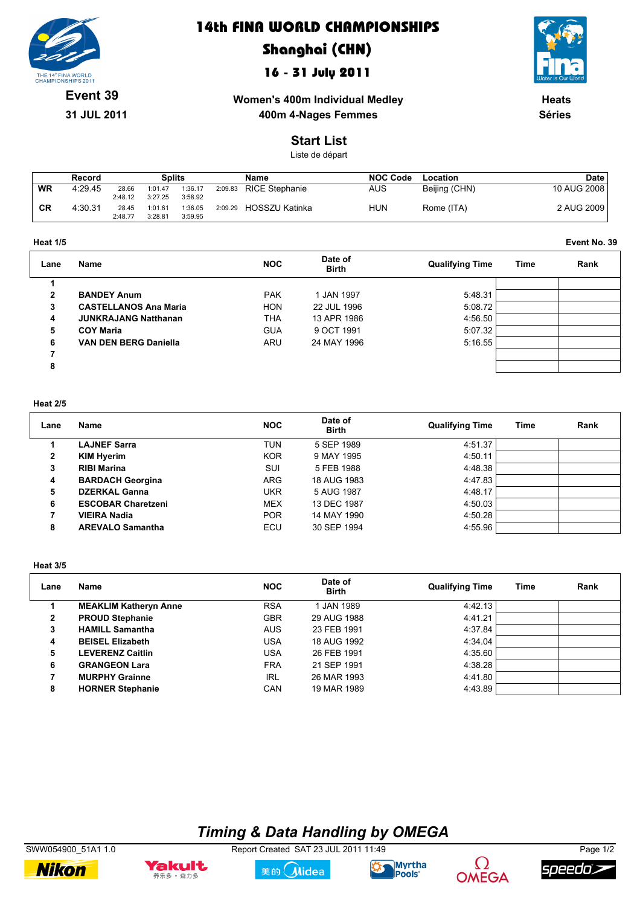

### **14th FINA WORLD CHAMPIONSHIPS**

# **Shanghai (CHN)**

### **16 - 31 July 2011**



**Event 39**

**31 JUL 2011**

**Women's 400m Individual Medley 400m 4-Nages Femmes** 

**Heats Séries**

#### **Start List**

Liste de départ

|           | Record  |                  | <b>Splits</b>      |                    |         | Name                  | <b>NOC Code</b> | Location      | Date        |
|-----------|---------|------------------|--------------------|--------------------|---------|-----------------------|-----------------|---------------|-------------|
| <b>WR</b> | 4:29.45 | 28.66<br>2:48.12 | 1:01.47<br>3:27.25 | 1:36.17<br>3:58.92 | 2:09.83 | <b>RICE Stephanie</b> | AUS             | Beijing (CHN) | 10 AUG 2008 |
| <b>CR</b> | 4:30.31 | 28.45<br>2:48.77 | 1:01.61<br>3:28.81 | 1:36.05<br>3:59.95 | 2:09.29 | HOSSZU Katinka        | HUN             | Rome (ITA)    | 2 AUG 2009  |

| <b>Heat 1/5</b><br>. | Event No. 39 |
|----------------------|--------------|
|                      |              |

| Lane | Name                         | <b>NOC</b> | Date of<br><b>Birth</b> | <b>Qualifying Time</b> | Time | Rank |
|------|------------------------------|------------|-------------------------|------------------------|------|------|
|      |                              |            |                         |                        |      |      |
| 2    | <b>BANDEY Anum</b>           | <b>PAK</b> | 1 JAN 1997              | 5:48.31                |      |      |
| 3    | <b>CASTELLANOS Ana Maria</b> | <b>HON</b> | 22 JUL 1996             | 5:08.72                |      |      |
| 4    | <b>JUNKRAJANG Natthanan</b>  | THA        | 13 APR 1986             | 4:56.50                |      |      |
| 5    | <b>COY Maria</b>             | <b>GUA</b> | 9 OCT 1991              | 5:07.32                |      |      |
| 6    | <b>VAN DEN BERG Daniella</b> | ARU        | 24 MAY 1996             | 5:16.55                |      |      |
| 7    |                              |            |                         |                        |      |      |
| 8    |                              |            |                         |                        |      |      |
|      |                              |            |                         |                        |      |      |

#### **Heat 2/5**

| Lane | Name                      | <b>NOC</b> | Date of<br><b>Birth</b> | <b>Qualifying Time</b> | Time | Rank |
|------|---------------------------|------------|-------------------------|------------------------|------|------|
|      | <b>LAJNEF Sarra</b>       | TUN        | 5 SEP 1989              | 4:51.37                |      |      |
| 2    | <b>KIM Hyerim</b>         | <b>KOR</b> | 9 MAY 1995              | 4:50.11                |      |      |
| 3    | <b>RIBI Marina</b>        | SUI        | 5 FEB 1988              | 4:48.38                |      |      |
| 4    | <b>BARDACH Georgina</b>   | <b>ARG</b> | 18 AUG 1983             | 4:47.83                |      |      |
| 5    | <b>DZERKAL Ganna</b>      | <b>UKR</b> | 5 AUG 1987              | 4:48.17                |      |      |
| 6    | <b>ESCOBAR Charetzeni</b> | <b>MEX</b> | 13 DEC 1987             | 4:50.03                |      |      |
| 7    | <b>VIEIRA Nadia</b>       | <b>POR</b> | 14 MAY 1990             | 4:50.28                |      |      |
| 8    | <b>AREVALO Samantha</b>   | ECU        | 30 SEP 1994             | 4:55.96                |      |      |

#### **Heat 3/5**

| Lane | Name                         | <b>NOC</b> | Date of<br><b>Birth</b> | <b>Qualifying Time</b> | Time | Rank |
|------|------------------------------|------------|-------------------------|------------------------|------|------|
|      | <b>MEAKLIM Katheryn Anne</b> | <b>RSA</b> | 1 JAN 1989              | 4:42.13                |      |      |
| 2    | <b>PROUD Stephanie</b>       | <b>GBR</b> | 29 AUG 1988             | 4:41.21                |      |      |
| 3    | <b>HAMILL Samantha</b>       | <b>AUS</b> | 23 FEB 1991             | 4:37.84                |      |      |
| 4    | <b>BEISEL Elizabeth</b>      | USA        | 18 AUG 1992             | 4:34.04                |      |      |
| 5    | <b>LEVERENZ Caitlin</b>      | USA        | 26 FEB 1991             | 4:35.60                |      |      |
| 6    | <b>GRANGEON Lara</b>         | <b>FRA</b> | 21 SEP 1991             | 4:38.28                |      |      |
| 7    | <b>MURPHY Grainne</b>        | <b>IRL</b> | 26 MAR 1993             | 4:41.80                |      |      |
| 8    | <b>HORNER Stephanie</b>      | CAN        | 19 MAR 1989             | 4:43.89                |      |      |

# *Timing & Data Handling by OMEGA*

SWW054900\_51A1 1.0 Report Created SAT 23 JUL 2011 11:49 Page 1/2